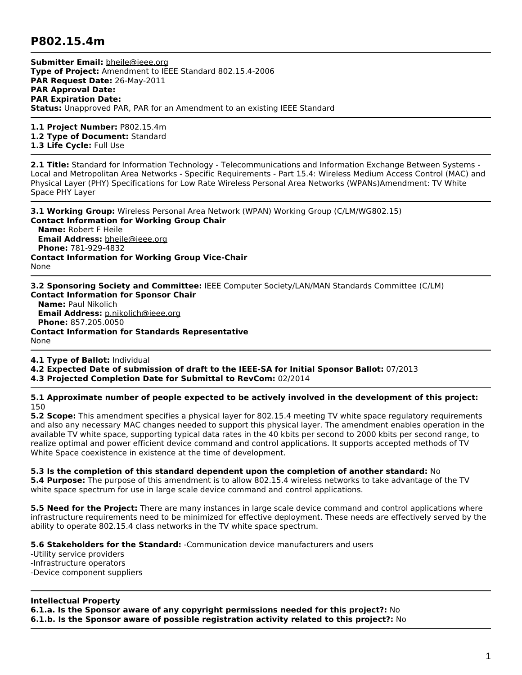## **P802.15.4m**

**Submitter Email:** [bheile@ieee.org](mailto:bheile%40ieee.org) **Type of Project:** Amendment to IEEE Standard 802.15.4-2006 **PAR Request Date:** 26-May-2011 **PAR Approval Date: PAR Expiration Date: Status:** Unapproved PAR, PAR for an Amendment to an existing IEEE Standard

**1.1 Project Number:** P802.15.4m **1.2 Type of Document:** Standard **1.3 Life Cycle:** Full Use

**2.1 Title:** Standard for Information Technology - Telecommunications and Information Exchange Between Systems - Local and Metropolitan Area Networks - Specific Requirements - Part 15.4: Wireless Medium Access Control (MAC) and Physical Layer (PHY) Specifications for Low Rate Wireless Personal Area Networks (WPANs)Amendment: TV White Space PHY Layer

**3.1 Working Group:** Wireless Personal Area Network (WPAN) Working Group (C/LM/WG802.15) **Contact Information for Working Group Chair Name:** Robert F Heile **Email Address:** [bheile@ieee.org](mailto:bheile%40ieee.org) **Phone:** 781-929-4832 **Contact Information for Working Group Vice-Chair** None

**3.2 Sponsoring Society and Committee:** IEEE Computer Society/LAN/MAN Standards Committee (C/LM) **Contact Information for Sponsor Chair**

**Name:** Paul Nikolich **Email Address:** [p.nikolich@ieee.org](mailto:p.nikolich%40ieee.org) **Phone:** 857.205.0050 **Contact Information for Standards Representative** None

**4.1 Type of Ballot:** Individual

**4.2 Expected Date of submission of draft to the IEEE-SA for Initial Sponsor Ballot:** 07/2013

**4.3 Projected Completion Date for Submittal to RevCom:** 02/2014

**5.1 Approximate number of people expected to be actively involved in the development of this project:** 150

**5.2 Scope:** This amendment specifies a physical layer for 802.15.4 meeting TV white space regulatory requirements and also any necessary MAC changes needed to support this physical layer. The amendment enables operation in the available TV white space, supporting typical data rates in the 40 kbits per second to 2000 kbits per second range, to realize optimal and power efficient device command and control applications. It supports accepted methods of TV White Space coexistence in existence at the time of development.

**5.3 Is the completion of this standard dependent upon the completion of another standard:** No

**5.4 Purpose:** The purpose of this amendment is to allow 802.15.4 wireless networks to take advantage of the TV white space spectrum for use in large scale device command and control applications.

**5.5 Need for the Project:** There are many instances in large scale device command and control applications where infrastructure requirements need to be minimized for effective deployment. These needs are effectively served by the ability to operate 802.15.4 class networks in the TV white space spectrum.

**5.6 Stakeholders for the Standard:** -Communication device manufacturers and users

-Utility service providers -Infrastructure operators -Device component suppliers

## **Intellectual Property**

**6.1.a. Is the Sponsor aware of any copyright permissions needed for this project?:** No

**6.1.b. Is the Sponsor aware of possible registration activity related to this project?:** No